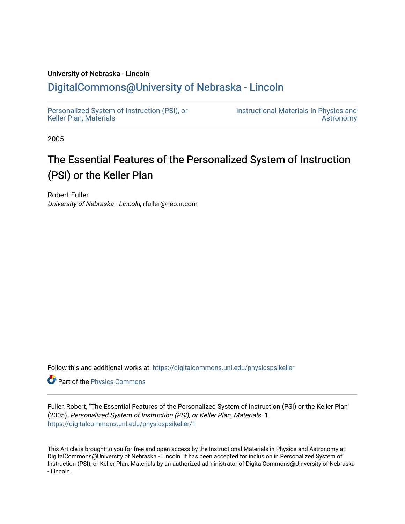## University of Nebraska - Lincoln

## [DigitalCommons@University of Nebraska - Lincoln](https://digitalcommons.unl.edu/)

[Personalized System of Instruction \(PSI\), or](https://digitalcommons.unl.edu/physicspsikeller)  [Keller Plan, Materials](https://digitalcommons.unl.edu/physicspsikeller)

[Instructional Materials in Physics and](https://digitalcommons.unl.edu/physicsinstructional)  [Astronomy](https://digitalcommons.unl.edu/physicsinstructional) 

2005

# The Essential Features of the Personalized System of Instruction (PSI) or the Keller Plan

Robert Fuller University of Nebraska - Lincoln, rfuller@neb.rr.com

Follow this and additional works at: [https://digitalcommons.unl.edu/physicspsikeller](https://digitalcommons.unl.edu/physicspsikeller?utm_source=digitalcommons.unl.edu%2Fphysicspsikeller%2F1&utm_medium=PDF&utm_campaign=PDFCoverPages)

Part of the [Physics Commons](http://network.bepress.com/hgg/discipline/193?utm_source=digitalcommons.unl.edu%2Fphysicspsikeller%2F1&utm_medium=PDF&utm_campaign=PDFCoverPages)

Fuller, Robert, "The Essential Features of the Personalized System of Instruction (PSI) or the Keller Plan" (2005). Personalized System of Instruction (PSI), or Keller Plan, Materials. 1. [https://digitalcommons.unl.edu/physicspsikeller/1](https://digitalcommons.unl.edu/physicspsikeller/1?utm_source=digitalcommons.unl.edu%2Fphysicspsikeller%2F1&utm_medium=PDF&utm_campaign=PDFCoverPages)

This Article is brought to you for free and open access by the Instructional Materials in Physics and Astronomy at DigitalCommons@University of Nebraska - Lincoln. It has been accepted for inclusion in Personalized System of Instruction (PSI), or Keller Plan, Materials by an authorized administrator of DigitalCommons@University of Nebraska - Lincoln.